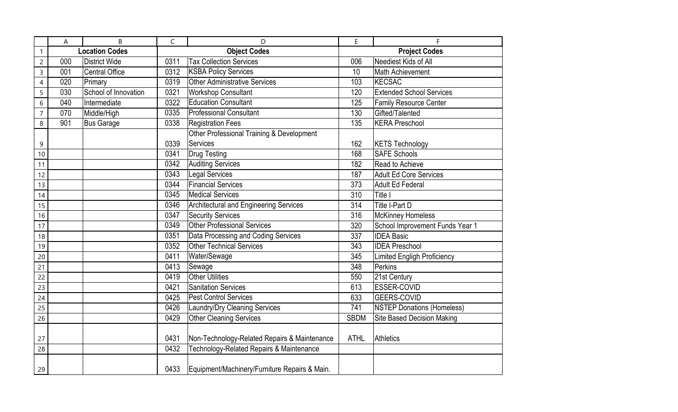|                          | A                     | B                     | $\mathsf C$         | D                                             | E                    | F                                  |
|--------------------------|-----------------------|-----------------------|---------------------|-----------------------------------------------|----------------------|------------------------------------|
|                          | <b>Location Codes</b> |                       | <b>Object Codes</b> |                                               | <b>Project Codes</b> |                                    |
| $\overline{c}$           | 000                   | <b>District Wide</b>  | 0311                | <b>Tax Collection Services</b>                | 006                  | Neediest Kids of All               |
| 3                        | 001                   | <b>Central Office</b> | 0312                | <b>KSBA Policy Services</b>                   | 10 <sup>1</sup>      | Math Achievement                   |
| $\overline{\mathcal{A}}$ | 020                   | Primary               | 0319                | Other Administrative Services                 | 103                  | <b>KECSAC</b>                      |
| 5                        | 030                   | School of Innovation  | 0321                | <b>Workshop Consultant</b>                    | 120                  | <b>Extended School Services</b>    |
| 6                        | 040                   | Intermediate          | 0322                | <b>Education Consultant</b>                   | 125                  | Family Resource Center             |
| $\overline{7}$           | 070                   | Middle/High           | 0335                | <b>Professional Consultant</b>                | 130                  | Gifted/Talented                    |
| 8                        | 901                   | <b>Bus Garage</b>     | 0338                | <b>Registration Fees</b>                      | 135                  | <b>KERA Preschool</b>              |
|                          |                       |                       |                     | Other Professional Training & Development     |                      |                                    |
| 9                        |                       |                       | 0339                | Services                                      | 162                  | <b>KETS Technology</b>             |
| 10                       |                       |                       | 0341                | <b>Drug Testing</b>                           | 168                  | <b>SAFE Schools</b>                |
| 11                       |                       |                       | 0342                | <b>Auditing Services</b>                      | 182                  | Read to Achieve                    |
| 12                       |                       |                       | 0343                | <b>Legal Services</b>                         | 187                  | <b>Adult Ed Core Services</b>      |
| 13                       |                       |                       | 0344                | <b>Financial Services</b>                     | 373                  | <b>Adult Ed Federal</b>            |
| 14                       |                       |                       | 0345                | <b>Medical Services</b>                       | 310                  | Title I                            |
| 15                       |                       |                       | 0346                | Architectural and Engineering Services        | 314                  | Title I-Part D                     |
| 16                       |                       |                       | 0347                | <b>Security Services</b>                      | 316                  | <b>McKinney Homeless</b>           |
| 17                       |                       |                       | 0349                | <b>Other Professional Services</b>            | 320                  | School Improvement Funds Year 1    |
| 18                       |                       |                       | 0351                | Data Processing and Coding Services           | 337                  | <b>IDEA Basic</b>                  |
| 19                       |                       |                       | 0352                | <b>Other Technical Services</b>               | 343                  | <b>IDEA Preschool</b>              |
| 20                       |                       |                       | 0411                | Water/Sewage                                  | 345                  | <b>Limited Engligh Proficiency</b> |
| 21                       |                       |                       | 0413                | Sewage                                        | 348                  | Perkins                            |
| 22                       |                       |                       | 0419                | <b>Other Utilities</b>                        | 550                  | 21st Century                       |
| 23                       |                       |                       | 0421                | <b>Sanitation Services</b>                    | 613                  | ESSER-COVID                        |
| 24                       |                       |                       | 0425                | <b>Pest Control Services</b>                  | 633                  | <b>GEERS-COVID</b>                 |
| 25                       |                       |                       | 0426                | Laundry/Dry Cleaning Services                 | 741                  | <b>NSTEP Donations (Homeless)</b>  |
| 26                       |                       |                       | 0429                | <b>Other Cleaning Services</b>                | <b>SBDM</b>          | <b>Site Based Decision Making</b>  |
|                          |                       |                       |                     |                                               |                      |                                    |
| 27                       |                       |                       | 0431                | Non-Technology-Related Repairs & Maintenance  | <b>ATHL</b>          | Athletics                          |
| 28                       |                       |                       | 0432                | Technology-Related Repairs & Maintenance      |                      |                                    |
| 29                       |                       |                       | 0433                | Equipment/Machinery/Furniture Repairs & Main. |                      |                                    |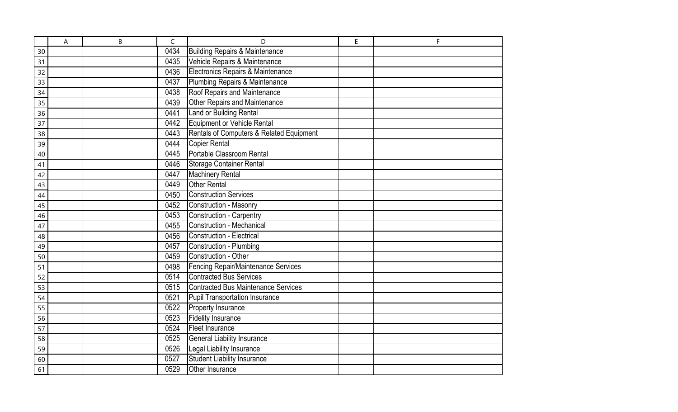|    | A | B | C    | D                                         | E | F |
|----|---|---|------|-------------------------------------------|---|---|
| 30 |   |   | 0434 | <b>Building Repairs &amp; Maintenance</b> |   |   |
| 31 |   |   | 0435 | Vehicle Repairs & Maintenance             |   |   |
| 32 |   |   | 0436 | Electronics Repairs & Maintenance         |   |   |
| 33 |   |   | 0437 | Plumbing Repairs & Maintenance            |   |   |
| 34 |   |   | 0438 | Roof Repairs and Maintenance              |   |   |
| 35 |   |   | 0439 | <b>Other Repairs and Maintenance</b>      |   |   |
| 36 |   |   | 0441 | Land or Building Rental                   |   |   |
| 37 |   |   | 0442 | Equipment or Vehicle Rental               |   |   |
| 38 |   |   | 0443 | Rentals of Computers & Related Equipment  |   |   |
| 39 |   |   | 0444 | Copier Rental                             |   |   |
| 40 |   |   | 0445 | Portable Classroom Rental                 |   |   |
| 41 |   |   | 0446 | <b>Storage Container Rental</b>           |   |   |
| 42 |   |   | 0447 | <b>Machinery Rental</b>                   |   |   |
| 43 |   |   | 0449 | <b>Other Rental</b>                       |   |   |
| 44 |   |   | 0450 | <b>Construction Services</b>              |   |   |
| 45 |   |   | 0452 | Construction - Masonry                    |   |   |
| 46 |   |   | 0453 | Construction - Carpentry                  |   |   |
| 47 |   |   | 0455 | <b>Construction - Mechanical</b>          |   |   |
| 48 |   |   | 0456 | <b>Construction - Electrical</b>          |   |   |
| 49 |   |   | 0457 | Construction - Plumbing                   |   |   |
| 50 |   |   | 0459 | Construction - Other                      |   |   |
| 51 |   |   | 0498 | Fencing Repair/Maintenance Services       |   |   |
| 52 |   |   | 0514 | <b>Contracted Bus Services</b>            |   |   |
| 53 |   |   | 0515 | Contracted Bus Maintenance Services       |   |   |
| 54 |   |   | 0521 | Pupil Transportation Insurance            |   |   |
| 55 |   |   | 0522 | Property Insurance                        |   |   |
| 56 |   |   | 0523 | <b>Fidelity Insurance</b>                 |   |   |
| 57 |   |   | 0524 | Fleet Insurance                           |   |   |
| 58 |   |   | 0525 | General Liability Insurance               |   |   |
| 59 |   |   | 0526 | Legal Liability Insurance                 |   |   |
| 60 |   |   | 0527 | <b>Student Liability Insurance</b>        |   |   |
| 61 |   |   | 0529 | Other Insurance                           |   |   |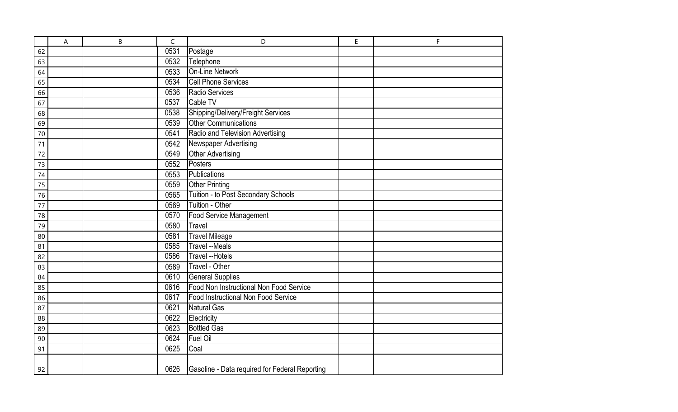|    | A | B | C    | D                                              | E | F |
|----|---|---|------|------------------------------------------------|---|---|
| 62 |   |   | 0531 | Postage                                        |   |   |
| 63 |   |   | 0532 | Telephone                                      |   |   |
| 64 |   |   | 0533 | <b>On-Line Network</b>                         |   |   |
| 65 |   |   | 0534 | <b>Cell Phone Services</b>                     |   |   |
| 66 |   |   | 0536 | Radio Services                                 |   |   |
| 67 |   |   | 0537 | Cable TV                                       |   |   |
| 68 |   |   | 0538 | Shipping/Delivery/Freight Services             |   |   |
| 69 |   |   | 0539 | <b>Other Communications</b>                    |   |   |
| 70 |   |   | 0541 | Radio and Television Advertising               |   |   |
| 71 |   |   | 0542 | Newspaper Advertising                          |   |   |
| 72 |   |   | 0549 | <b>Other Advertising</b>                       |   |   |
| 73 |   |   | 0552 | Posters                                        |   |   |
| 74 |   |   | 0553 | Publications                                   |   |   |
| 75 |   |   | 0559 | <b>Other Printing</b>                          |   |   |
| 76 |   |   | 0565 | Tuition - to Post Secondary Schools            |   |   |
| 77 |   |   | 0569 | Tuition - Other                                |   |   |
| 78 |   |   | 0570 | Food Service Management                        |   |   |
| 79 |   |   | 0580 | Travel                                         |   |   |
| 80 |   |   | 0581 | <b>Travel Mileage</b>                          |   |   |
| 81 |   |   | 0585 | <b>Travel --Meals</b>                          |   |   |
| 82 |   |   | 0586 | <b>Travel --Hotels</b>                         |   |   |
| 83 |   |   | 0589 | Travel - Other                                 |   |   |
| 84 |   |   | 0610 | <b>General Supplies</b>                        |   |   |
| 85 |   |   | 0616 | Food Non Instructional Non Food Service        |   |   |
| 86 |   |   | 0617 | Food Instructional Non Food Service            |   |   |
| 87 |   |   | 0621 | Natural Gas                                    |   |   |
| 88 |   |   | 0622 | Electricity                                    |   |   |
| 89 |   |   | 0623 | <b>Bottled Gas</b>                             |   |   |
| 90 |   |   | 0624 | Fuel Oil                                       |   |   |
| 91 |   |   | 0625 | Coal                                           |   |   |
| 92 |   |   | 0626 | Gasoline - Data required for Federal Reporting |   |   |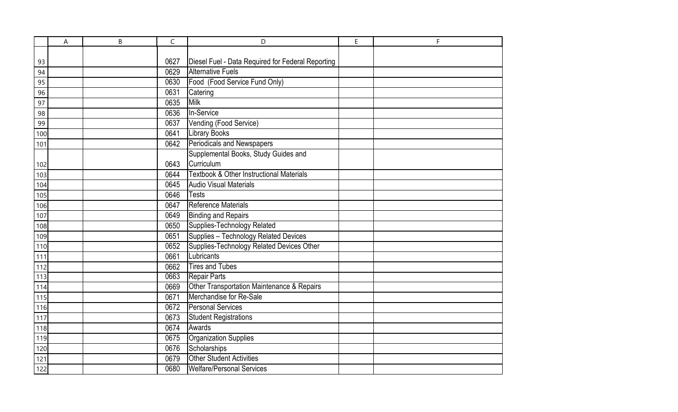|     | A | B | $\mathsf C$ | D                                                   | E | F |
|-----|---|---|-------------|-----------------------------------------------------|---|---|
|     |   |   |             |                                                     |   |   |
| 93  |   |   | 0627        | Diesel Fuel - Data Required for Federal Reporting   |   |   |
| 94  |   |   | 0629        | <b>Alternative Fuels</b>                            |   |   |
| 95  |   |   | 0630        | Food (Food Service Fund Only)                       |   |   |
| 96  |   |   | 0631        | Catering                                            |   |   |
| 97  |   |   | 0635        | Milk                                                |   |   |
| 98  |   |   | 0636        | In-Service                                          |   |   |
| 99  |   |   | 0637        | Vending (Food Service)                              |   |   |
| 100 |   |   | 0641        | <b>Library Books</b>                                |   |   |
| 101 |   |   | 0642        | Periodicals and Newspapers                          |   |   |
|     |   |   |             | Supplemental Books, Study Guides and                |   |   |
| 102 |   |   | 0643        | Curriculum                                          |   |   |
| 103 |   |   | 0644        | <b>Textbook &amp; Other Instructional Materials</b> |   |   |
| 104 |   |   | 0645        | <b>Audio Visual Materials</b>                       |   |   |
| 105 |   |   | 0646        | <b>Tests</b>                                        |   |   |
| 106 |   |   | 0647        | Reference Materials                                 |   |   |
| 107 |   |   | 0649        | <b>Binding and Repairs</b>                          |   |   |
| 108 |   |   | 0650        | Supplies-Technology Related                         |   |   |
| 109 |   |   | 0651        | Supplies - Technology Related Devices               |   |   |
| 110 |   |   | 0652        | Supplies-Technology Related Devices Other           |   |   |
| 111 |   |   | 0661        | Lubricants                                          |   |   |
| 112 |   |   | 0662        | <b>Tires and Tubes</b>                              |   |   |
| 113 |   |   | 0663        | <b>Repair Parts</b>                                 |   |   |
| 114 |   |   | 0669        | Other Transportation Maintenance & Repairs          |   |   |
| 115 |   |   | 0671        | Merchandise for Re-Sale                             |   |   |
| 116 |   |   | 0672        | Personal Services                                   |   |   |
| 117 |   |   | 0673        | <b>Student Registrations</b>                        |   |   |
| 118 |   |   | 0674        | Awards                                              |   |   |
| 119 |   |   | 0675        | Organization Supplies                               |   |   |
| 120 |   |   | 0676        | Scholarships                                        |   |   |
| 121 |   |   | 0679        | <b>Other Student Activities</b>                     |   |   |
| 122 |   |   | 0680        | <b>Welfare/Personal Services</b>                    |   |   |